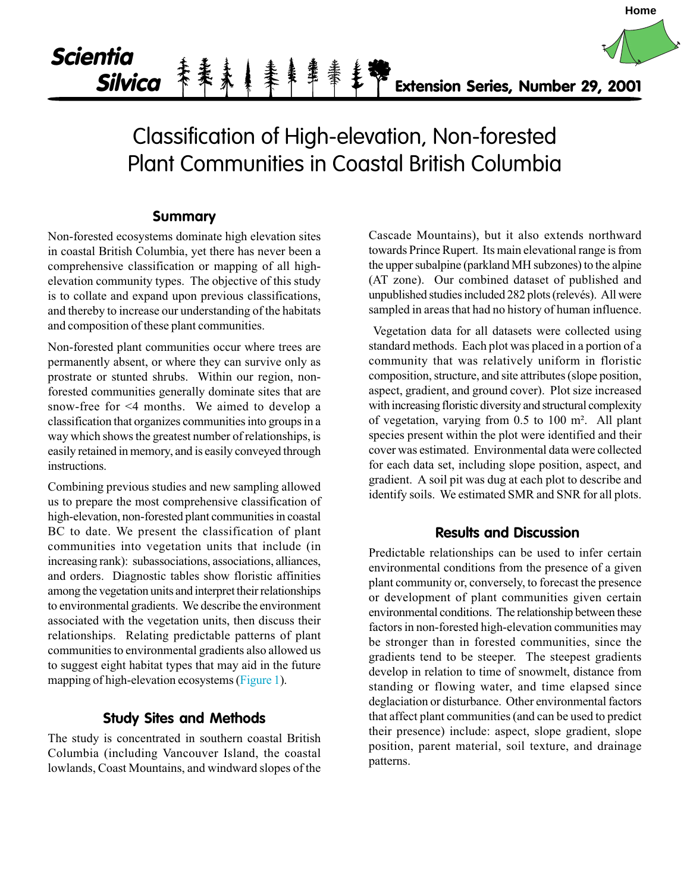# **Scientia Silvica Extension Series, Number 29, 2001**

# Classification of High-elevation, Non-forested Plant Communities in Coastal British Columbia

### **Summary**

Non-forested ecosystems dominate high elevation sites in coastal British Columbia, yet there has never been a comprehensive classification or mapping of all highelevation community types. The objective of this study is to collate and expand upon previous classifications, and thereby to increase our understanding of the habitats and composition of these plant communities.

Non-forested plant communities occur where trees are permanently absent, or where they can survive only as prostrate or stunted shrubs. Within our region, nonforested communities generally dominate sites that are snow-free for <4 months. We aimed to develop a classification that organizes communities into groups in a way which shows the greatest number of relationships, is easily retained in memory, and is easily conveyed through instructions.

Combining previous studies and new sampling allowed us to prepare the most comprehensive classification of high-elevation, non-forested plant communities in coastal BC to date. We present the classification of plant communities into vegetation units that include (in increasing rank): subassociations, associations, alliances, and orders. Diagnostic tables show floristic affinities among the vegetation units and interpret their relationships to environmental gradients. We describe the environment associated with the vegetation units, then discuss their relationships. Relating predictable patterns of plant communities to environmental gradients also allowed us to suggest eight habitat types that may aid in the future mapping of high-elevation ecosystems [\(Figure 1\).](#page-1-0)

# **Study Sites and Methods**

The study is concentrated in southern coastal British Columbia (including Vancouver Island, the coastal lowlands, Coast Mountains, and windward slopes of the

Cascade Mountains), but it also extends northward towards Prince Rupert. Its main elevational range is from the upper subalpine (parkland MH subzones) to the alpine (AT zone). Our combined dataset of published and unpublished studies included 282 plots (relevés). All were sampled in areas that had no history of human influence.

**Home**

 Vegetation data for all datasets were collected using standard methods. Each plot was placed in a portion of a community that was relatively uniform in floristic composition, structure, and site attributes (slope position, aspect, gradient, and ground cover). Plot size increased with increasing floristic diversity and structural complexity of vegetation, varying from 0.5 to 100 m². All plant species present within the plot were identified and their cover was estimated. Environmental data were collected for each data set, including slope position, aspect, and gradient. A soil pit was dug at each plot to describe and identify soils. We estimated SMR and SNR for all plots.

### **Results and Discussion**

Predictable relationships can be used to infer certain environmental conditions from the presence of a given plant community or, conversely, to forecast the presence or development of plant communities given certain environmental conditions. The relationship between these factors in non-forested high-elevation communities may be stronger than in forested communities, since the gradients tend to be steeper. The steepest gradients develop in relation to time of snowmelt, distance from standing or flowing water, and time elapsed since deglaciation or disturbance. Other environmental factors that affect plant communities (and can be used to predict their presence) include: aspect, slope gradient, slope position, parent material, soil texture, and drainage patterns.